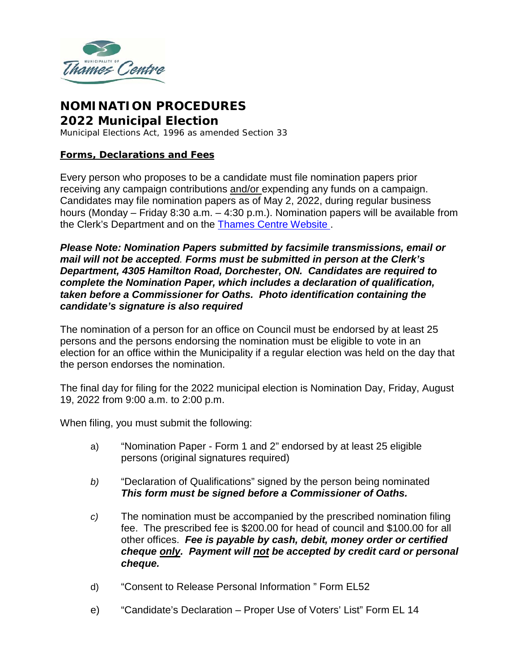

# **NOMINATION PROCEDURES 2022 Municipal Election**

Municipal Elections Act, 1996 as amended Section 33

#### **Forms, Declarations and Fees**

Every person who proposes to be a candidate must file nomination papers prior receiving any campaign contributions and/or expending any funds on a campaign. Candidates may file nomination papers as of May 2, 2022, during regular business hours (Monday – Friday 8:30 a.m. – 4:30 p.m.). Nomination papers will be available from the Clerk's Department and on the [Thames Centre](https://www.thamescentre.on.ca/election) Website .

*Please Note: Nomination Papers submitted by facsimile transmissions, email or mail will not be accepted. Forms must be submitted in person at the Clerk's Department, 4305 Hamilton Road, Dorchester, ON. Candidates are required to complete the Nomination Paper, which includes a declaration of qualification, taken before a Commissioner for Oaths. Photo identification containing the candidate's signature is also required*

The nomination of a person for an office on Council must be endorsed by at least 25 persons and the persons endorsing the nomination must be eligible to vote in an election for an office within the Municipality if a regular election was held on the day that the person endorses the nomination.

The final day for filing for the 2022 municipal election is Nomination Day, Friday, August 19, 2022 from 9:00 a.m. to 2:00 p.m.

When filing, you must submit the following:

- a) "Nomination Paper Form 1 and 2" endorsed by at least 25 eligible persons (original signatures required)
- *b)* "Declaration of Qualifications" signed by the person being nominated *This form must be signed before a Commissioner of Oaths.*
- *c)* The nomination must be accompanied by the prescribed nomination filing fee. The prescribed fee is \$200.00 for head of council and \$100.00 for all other offices. *Fee is payable by cash, debit, money order or certified cheque only. Payment will not be accepted by credit card or personal cheque.*
- d) "Consent to Release Personal Information " Form EL52
- e) "Candidate's Declaration Proper Use of Voters' List" Form EL 14